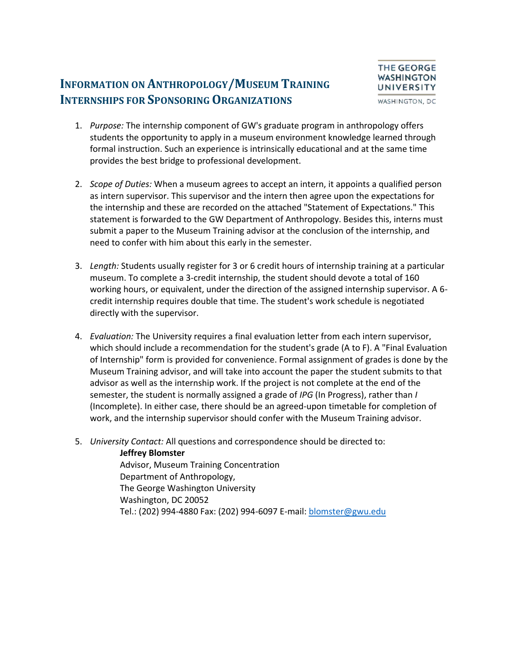### **INFORMATION ON ANTHROPOLOGY/MUSEUM TRAINING INTERNSHIPS FOR SPONSORING ORGANIZATIONS**



- 1. *Purpose:* The internship component of GW's graduate program in anthropology offers students the opportunity to apply in a museum environment knowledge learned through formal instruction. Such an experience is intrinsically educational and at the same time provides the best bridge to professional development.
- 2. *Scope of Duties:* When a museum agrees to accept an intern, it appoints a qualified person as intern supervisor. This supervisor and the intern then agree upon the expectations for the internship and these are recorded on the attached "Statement of Expectations." This statement is forwarded to the GW Department of Anthropology. Besides this, interns must submit a paper to the Museum Training advisor at the conclusion of the internship, and need to confer with him about this early in the semester.
- 3. *Length:* Students usually register for 3 or 6 credit hours of internship training at a particular museum. To complete a 3-credit internship, the student should devote a total of 160 working hours, or equivalent, under the direction of the assigned internship supervisor. A 6 credit internship requires double that time. The student's work schedule is negotiated directly with the supervisor.
- 4. *Evaluation:* The University requires a final evaluation letter from each intern supervisor, which should include a recommendation for the student's grade (A to F). A "Final Evaluation of Internship" form is provided for convenience. Formal assignment of grades is done by the Museum Training advisor, and will take into account the paper the student submits to that advisor as well as the internship work. If the project is not complete at the end of the semester, the student is normally assigned a grade of *IPG* (In Progress), rather than *I*  (Incomplete). In either case, there should be an agreed-upon timetable for completion of work, and the internship supervisor should confer with the Museum Training advisor.
- 5. *University Contact:* All questions and correspondence should be directed to:

### **Jeffrey Blomster**

Advisor, Museum Training Concentration Department of Anthropology, The George Washington University Washington, DC 20052 Tel.: (202) 994-4880 Fax: (202) 994-6097 E-mail[: blomster@gwu.edu](mailto:blomster@gwu.edu)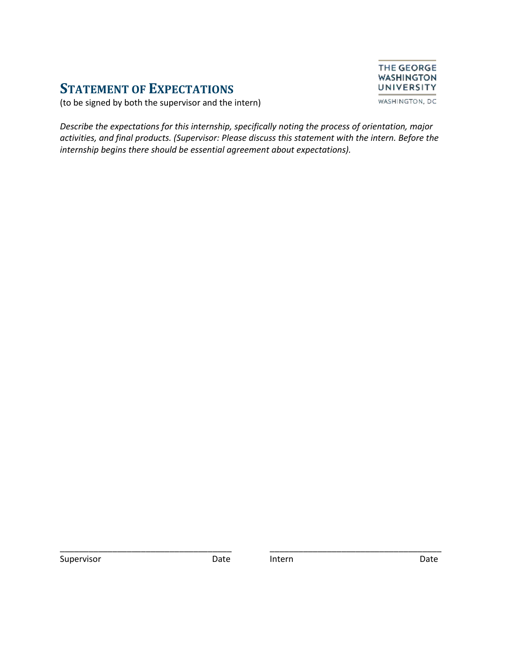## **STATEMENT OF EXPECTATIONS**



(to be signed by both the supervisor and the intern)

*Describe the expectations for this internship, specifically noting the process of orientation, major activities, and final products. (Supervisor: Please discuss this statement with the intern. Before the internship begins there should be essential agreement about expectations).*

Supervisor **Date** Date Intern Date Date Date

\_\_\_\_\_\_\_\_\_\_\_\_\_\_\_\_\_\_\_\_\_\_\_\_\_\_\_\_\_\_\_\_\_\_\_\_ \_\_\_\_\_\_\_\_\_\_\_\_\_\_\_\_\_\_\_\_\_\_\_\_\_\_\_\_\_\_\_\_\_\_\_\_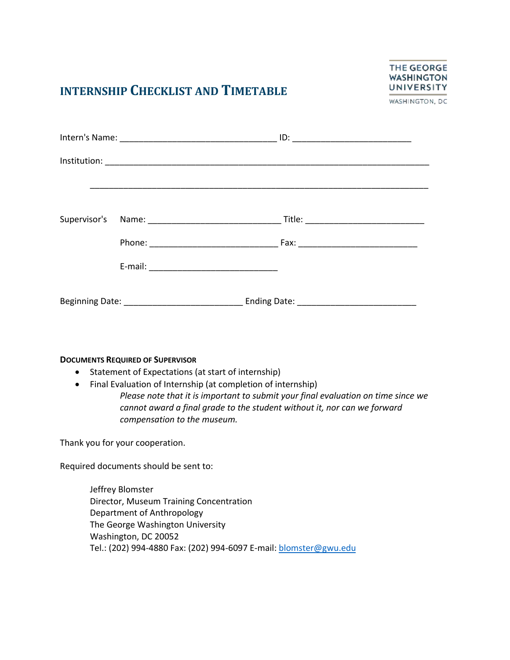## **INTERNSHIP CHECKLIST AND TIMETABLE**



WASHINGTON, DC

#### **DOCUMENTS REQUIRED OF SUPERVISOR**

- Statement of Expectations (at start of internship)
- Final Evaluation of Internship (at completion of internship)

*Please note that it is important to submit your final evaluation on time since we cannot award a final grade to the student without it, nor can we forward compensation to the museum.* 

Thank you for your cooperation.

Required documents should be sent to:

Jeffrey Blomster Director, Museum Training Concentration Department of Anthropology The George Washington University Washington, DC 20052 Tel.: (202) 994-4880 Fax: (202) 994-6097 E-mail[: blomster@gwu.edu](mailto:blomster@gwu.edu)